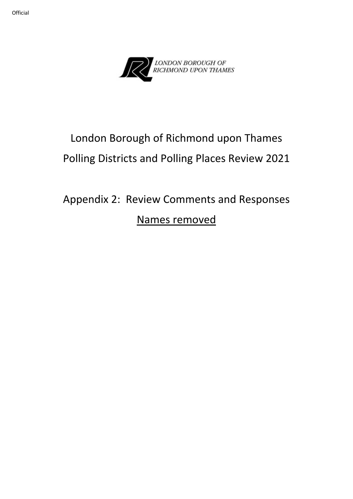



# London Borough of Richmond upon Thames Polling Districts and Polling Places Review 2021

# Appendix 2: Review Comments and Responses Names removed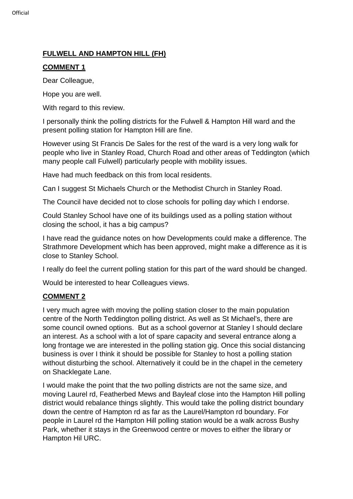# **FULWELL AND HAMPTON HILL (FH)**

# **COMMENT 1**

Dear Colleague,

Hope you are well.

With regard to this review.

I personally think the polling districts for the Fulwell & Hampton Hill ward and the present polling station for Hampton Hill are fine.

However using St Francis De Sales for the rest of the ward is a very long walk for people who live in Stanley Road, Church Road and other areas of Teddington (which many people call Fulwell) particularly people with mobility issues.

Have had much feedback on this from local residents.

Can I suggest St Michaels Church or the Methodist Church in Stanley Road.

The Council have decided not to close schools for polling day which I endorse.

Could Stanley School have one of its buildings used as a polling station without closing the school, it has a big campus?

I have read the guidance notes on how Developments could make a difference. The Strathmore Development which has been approved, might make a difference as it is close to Stanley School.

I really do feel the current polling station for this part of the ward should be changed.

Would be interested to hear Colleagues views.

# **COMMENT 2**

I very much agree with moving the polling station closer to the main population centre of the North Teddington polling district. As well as St Michael's, there are some council owned options. But as a school governor at Stanley I should declare an interest. As a school with a lot of spare capacity and several entrance along a long frontage we are interested in the polling station gig. Once this social distancing business is over I think it should be possible for Stanley to host a polling station without disturbing the school. Alternatively it could be in the chapel in the cemetery on Shacklegate Lane.

I would make the point that the two polling districts are not the same size, and moving Laurel rd, Featherbed Mews and Bayleaf close into the Hampton Hill polling district would rebalance things slightly. This would take the polling district boundary down the centre of Hampton rd as far as the Laurel/Hampton rd boundary. For people in Laurel rd the Hampton Hill polling station would be a walk across Bushy Park, whether it stays in the Greenwood centre or moves to either the library or Hampton Hil URC.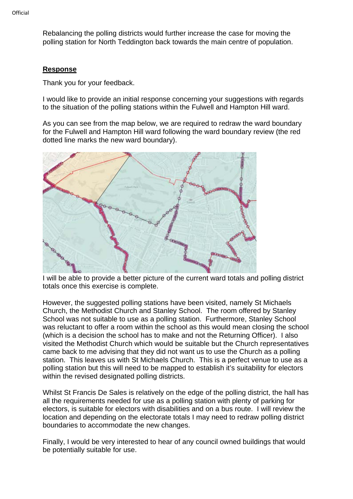Rebalancing the polling districts would further increase the case for moving the polling station for North Teddington back towards the main centre of population.

#### **Response**

Thank you for your feedback.

I would like to provide an initial response concerning your suggestions with regards to the situation of the polling stations within the Fulwell and Hampton Hill ward.

As you can see from the map below, we are required to redraw the ward boundary for the Fulwell and Hampton Hill ward following the ward boundary review (the red dotted line marks the new ward boundary).



I will be able to provide a better picture of the current ward totals and polling district totals once this exercise is complete.

However, the suggested polling stations have been visited, namely St Michaels Church, the Methodist Church and Stanley School. The room offered by Stanley School was not suitable to use as a polling station. Furthermore, Stanley School was reluctant to offer a room within the school as this would mean closing the school (which is a decision the school has to make and not the Returning Officer). I also visited the Methodist Church which would be suitable but the Church representatives came back to me advising that they did not want us to use the Church as a polling station. This leaves us with St Michaels Church. This is a perfect venue to use as a polling station but this will need to be mapped to establish it's suitability for electors within the revised designated polling districts.

Whilst St Francis De Sales is relatively on the edge of the polling district, the hall has all the requirements needed for use as a polling station with plenty of parking for electors, is suitable for electors with disabilities and on a bus route. I will review the location and depending on the electorate totals I may need to redraw polling district boundaries to accommodate the new changes.

Finally, I would be very interested to hear of any council owned buildings that would be potentially suitable for use.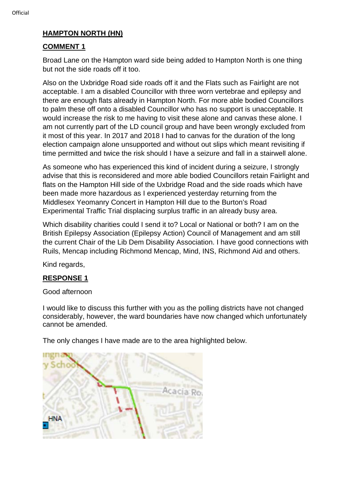#### **HAMPTON NORTH (HN)**

#### **COMMENT 1**

Broad Lane on the Hampton ward side being added to Hampton North is one thing but not the side roads off it too.

Also on the Uxbridge Road side roads off it and the Flats such as Fairlight are not acceptable. I am a disabled Councillor with three worn vertebrae and epilepsy and there are enough flats already in Hampton North. For more able bodied Councillors to palm these off onto a disabled Councillor who has no support is unacceptable. It would increase the risk to me having to visit these alone and canvas these alone. I am not currently part of the LD council group and have been wrongly excluded from it most of this year. In 2017 and 2018 I had to canvas for the duration of the long election campaign alone unsupported and without out slips which meant revisiting if time permitted and twice the risk should I have a seizure and fall in a stairwell alone.

As someone who has experienced this kind of incident during a seizure, I strongly advise that this is reconsidered and more able bodied Councillors retain Fairlight and flats on the Hampton Hill side of the Uxbridge Road and the side roads which have been made more hazardous as I experienced yesterday returning from the Middlesex Yeomanry Concert in Hampton Hill due to the Burton's Road Experimental Traffic Trial displacing surplus traffic in an already busy area.

Which disability charities could I send it to? Local or National or both? I am on the British Epilepsy Association (Epilepsy Action) Council of Management and am still the current Chair of the Lib Dem Disability Association. I have good connections with Ruils, Mencap including Richmond Mencap, Mind, INS, Richmond Aid and others.

Kind regards,

#### **RESPONSE 1**

Good afternoon

I would like to discuss this further with you as the polling districts have not changed considerably, however, the ward boundaries have now changed which unfortunately cannot be amended.

The only changes I have made are to the area highlighted below.

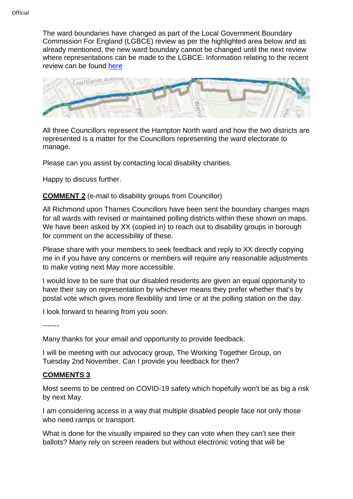The ward boundaries have changed as part of the Local Government Boundary Commission For England (LGBCE) review as per the highlighted area below and as already mentioned, the new ward boundary cannot be changed until the next review where representations can be made to the LGBCE. Information relating to the recent review can be found [here](https://www.lgbce.org.uk/all-reviews/greater-london/greater-london/richmond-upon-thames)



All three Councillors represent the Hampton North ward and how the two districts are represented is a matter for the Councillors representing the ward electorate to manage.

Please can you assist by contacting local disability charities.

Happy to discuss further.

#### **COMMENT 2** (e-mail to disability groups from Councillor)

All Richmond upon Thames Councillors have been sent the boundary changes maps for all wards with revised or maintained polling districts within these shown on maps. We have been asked by XX (copied in) to reach out to disability groups in borough for comment on the accessibility of these.

Please share with your members to seek feedback and reply to XX directly copying me in if you have any concerns or members will require any reasonable adjustments to make voting next May more accessible.

I would love to be sure that our disabled residents are given an equal opportunity to have their say on representation by whichever means they prefer whether that's by postal vote which gives more flexibility and time or at the polling station on the day.

I look forward to hearing from you soon.

-------

Many thanks for your email and opportunity to provide feedback.

I will be meeting with our advocacy group, The Working Together Group, on Tuesday 2nd November. Can I provide you feedback for then?

#### **COMMENTS 3**

Most seems to be centred on COVID-19 safety which hopefully won't be as big a risk by next May.

I am considering access in a way that multiple disabled people face not only those who need ramps or transport.

What is done for the visually impaired so they can vote when they can't see their ballots? Many rely on screen readers but without electronic voting that will be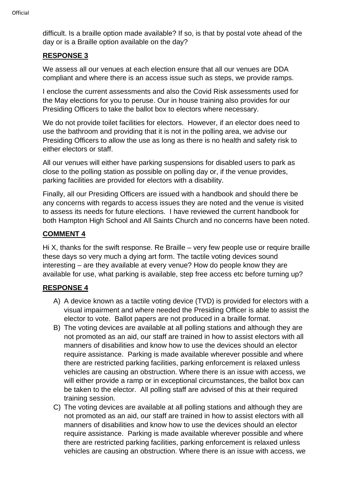difficult. Is a braille option made available? If so, is that by postal vote ahead of the day or is a Braille option available on the day?

# **RESPONSE 3**

We assess all our venues at each election ensure that all our venues are DDA compliant and where there is an access issue such as steps, we provide ramps.

I enclose the current assessments and also the Covid Risk assessments used for the May elections for you to peruse. Our in house training also provides for our Presiding Officers to take the ballot box to electors where necessary.

We do not provide toilet facilities for electors. However, if an elector does need to use the bathroom and providing that it is not in the polling area, we advise our Presiding Officers to allow the use as long as there is no health and safety risk to either electors or staff.

All our venues will either have parking suspensions for disabled users to park as close to the polling station as possible on polling day or, if the venue provides, parking facilities are provided for electors with a disability.

Finally, all our Presiding Officers are issued with a handbook and should there be any concerns with regards to access issues they are noted and the venue is visited to assess its needs for future elections. I have reviewed the current handbook for both Hampton High School and All Saints Church and no concerns have been noted.

# **COMMENT 4**

Hi X, thanks for the swift response. Re Braille – very few people use or require braille these days so very much a dying art form. The tactile voting devices sound interesting – are they available at every venue? How do people know they are available for use, what parking is available, step free access etc before turning up?

# **RESPONSE 4**

- A) A device known as a tactile voting device (TVD) is provided for electors with a visual impairment and where needed the Presiding Officer is able to assist the elector to vote. Ballot papers are not produced in a braille format.
- B) The voting devices are available at all polling stations and although they are not promoted as an aid, our staff are trained in how to assist electors with all manners of disabilities and know how to use the devices should an elector require assistance. Parking is made available wherever possible and where there are restricted parking facilities, parking enforcement is relaxed unless vehicles are causing an obstruction. Where there is an issue with access, we will either provide a ramp or in exceptional circumstances, the ballot box can be taken to the elector. All polling staff are advised of this at their required training session.
- C) The voting devices are available at all polling stations and although they are not promoted as an aid, our staff are trained in how to assist electors with all manners of disabilities and know how to use the devices should an elector require assistance. Parking is made available wherever possible and where there are restricted parking facilities, parking enforcement is relaxed unless vehicles are causing an obstruction. Where there is an issue with access, we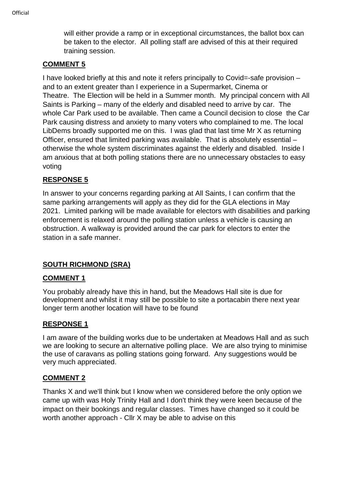will either provide a ramp or in exceptional circumstances, the ballot box can be taken to the elector. All polling staff are advised of this at their required training session.

## **COMMENT 5**

I have looked briefly at this and note it refers principally to Covid=-safe provision – and to an extent greater than I experience in a Supermarket, Cinema or Theatre. The Election will be held in a Summer month. My principal concern with All Saints is Parking – many of the elderly and disabled need to arrive by car. The whole Car Park used to be available. Then came a Council decision to close the Car Park causing distress and anxiety to many voters who complained to me. The local LibDems broadly supported me on this. I was glad that last time Mr X as returning Officer, ensured that limited parking was available. That is absolutely essential – otherwise the whole system discriminates against the elderly and disabled. Inside I am anxious that at both polling stations there are no unnecessary obstacles to easy voting

# **RESPONSE 5**

In answer to your concerns regarding parking at All Saints, I can confirm that the same parking arrangements will apply as they did for the GLA elections in May 2021. Limited parking will be made available for electors with disabilities and parking enforcement is relaxed around the polling station unless a vehicle is causing an obstruction. A walkway is provided around the car park for electors to enter the station in a safe manner.

#### **SOUTH RICHMOND (SRA)**

#### **COMMENT 1**

You probably already have this in hand, but the Meadows Hall site is due for development and whilst it may still be possible to site a portacabin there next year longer term another location will have to be found

#### **RESPONSE 1**

I am aware of the building works due to be undertaken at Meadows Hall and as such we are looking to secure an alternative polling place. We are also trying to minimise the use of caravans as polling stations going forward. Any suggestions would be very much appreciated.

#### **COMMENT 2**

Thanks X and we'll think but I know when we considered before the only option we came up with was Holy Trinity Hall and I don't think they were keen because of the impact on their bookings and regular classes. Times have changed so it could be worth another approach - Cllr X may be able to advise on this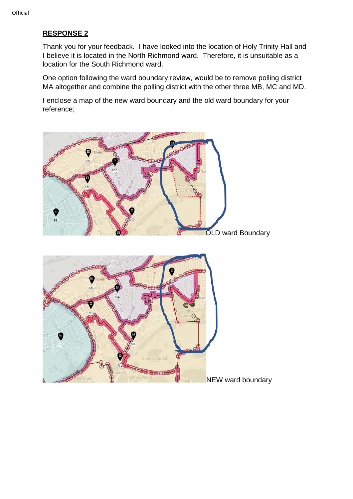# **RESPONSE 2**

Thank you for your feedback. I have looked into the location of Holy Trinity Hall and I believe it is located in the North Richmond ward. Therefore, it is unsuitable as a location for the South Richmond ward.

One option following the ward boundary review, would be to remove polling district MA altogether and combine the polling district with the other three MB, MC and MD.

I enclose a map of the new ward boundary and the old ward boundary for your reference;

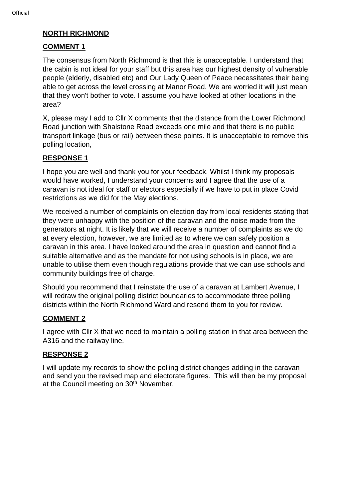## **NORTH RICHMOND**

#### **COMMENT 1**

The consensus from North Richmond is that this is unacceptable. I understand that the cabin is not ideal for your staff but this area has our highest density of vulnerable people (elderly, disabled etc) and Our Lady Queen of Peace necessitates their being able to get across the level crossing at Manor Road. We are worried it will just mean that they won't bother to vote. I assume you have looked at other locations in the area?

X, please may I add to Cllr X comments that the distance from the Lower Richmond Road junction with Shalstone Road exceeds one mile and that there is no public transport linkage (bus or rail) between these points. It is unacceptable to remove this polling location,

# **RESPONSE 1**

I hope you are well and thank you for your feedback. Whilst I think my proposals would have worked, I understand your concerns and I agree that the use of a caravan is not ideal for staff or electors especially if we have to put in place Covid restrictions as we did for the May elections.

We received a number of complaints on election day from local residents stating that they were unhappy with the position of the caravan and the noise made from the generators at night. It is likely that we will receive a number of complaints as we do at every election, however, we are limited as to where we can safely position a caravan in this area. I have looked around the area in question and cannot find a suitable alternative and as the mandate for not using schools is in place, we are unable to utilise them even though regulations provide that we can use schools and community buildings free of charge.

Should you recommend that I reinstate the use of a caravan at Lambert Avenue, I will redraw the original polling district boundaries to accommodate three polling districts within the North Richmond Ward and resend them to you for review.

# **COMMENT 2**

I agree with Cllr X that we need to maintain a polling station in that area between the A316 and the railway line.

#### **RESPONSE 2**

I will update my records to show the polling district changes adding in the caravan and send you the revised map and electorate figures. This will then be my proposal at the Council meeting on 30<sup>th</sup> November.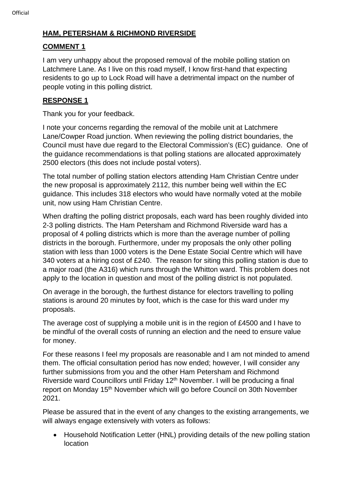# **HAM, PETERSHAM & RICHMOND RIVERSIDE**

# **COMMENT 1**

I am very unhappy about the proposed removal of the mobile polling station on Latchmere Lane. As I live on this road myself, I know first-hand that expecting residents to go up to Lock Road will have a detrimental impact on the number of people voting in this polling district.

# **RESPONSE 1**

Thank you for your feedback.

I note your concerns regarding the removal of the mobile unit at Latchmere Lane/Cowper Road junction. When reviewing the polling district boundaries, the Council must have due regard to the Electoral Commission's (EC) guidance. One of the guidance recommendations is that polling stations are allocated approximately 2500 electors (this does not include postal voters).

The total number of polling station electors attending Ham Christian Centre under the new proposal is approximately 2112, this number being well within the EC guidance. This includes 318 electors who would have normally voted at the mobile unit, now using Ham Christian Centre.

When drafting the polling district proposals, each ward has been roughly divided into 2-3 polling districts. The Ham Petersham and Richmond Riverside ward has a proposal of 4 polling districts which is more than the average number of polling districts in the borough. Furthermore, under my proposals the only other polling station with less than 1000 voters is the Dene Estate Social Centre which will have 340 voters at a hiring cost of £240. The reason for siting this polling station is due to a major road (the A316) which runs through the Whitton ward. This problem does not apply to the location in question and most of the polling district is not populated.

On average in the borough, the furthest distance for electors travelling to polling stations is around 20 minutes by foot, which is the case for this ward under my proposals.

The average cost of supplying a mobile unit is in the region of £4500 and I have to be mindful of the overall costs of running an election and the need to ensure value for money.

For these reasons I feel my proposals are reasonable and I am not minded to amend them. The official consultation period has now ended; however, I will consider any further submissions from you and the other Ham Petersham and Richmond Riverside ward Councillors until Friday 12<sup>th</sup> November. I will be producing a final report on Monday 15<sup>th</sup> November which will go before Council on 30th November 2021.

Please be assured that in the event of any changes to the existing arrangements, we will always engage extensively with voters as follows:

• Household Notification Letter (HNL) providing details of the new polling station location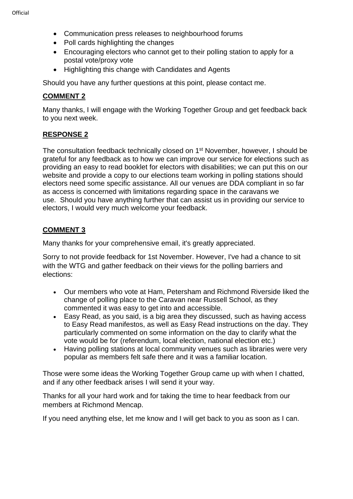- Communication press releases to neighbourhood forums
- Poll cards highlighting the changes
- Encouraging electors who cannot get to their polling station to apply for a postal vote/proxy vote
- Highlighting this change with Candidates and Agents

Should you have any further questions at this point, please contact me.

#### **COMMENT 2**

Many thanks, I will engage with the Working Together Group and get feedback back to you next week.

### **RESPONSE 2**

The consultation feedback technically closed on 1<sup>st</sup> November, however, I should be grateful for any feedback as to how we can improve our service for elections such as providing an easy to read booklet for electors with disabilities; we can put this on our website and provide a copy to our elections team working in polling stations should electors need some specific assistance. All our venues are DDA compliant in so far as access is concerned with limitations regarding space in the caravans we use. Should you have anything further that can assist us in providing our service to electors, I would very much welcome your feedback.

# **COMMENT 3**

Many thanks for your comprehensive email, it's greatly appreciated.

Sorry to not provide feedback for 1st November. However, I've had a chance to sit with the WTG and gather feedback on their views for the polling barriers and elections:

- Our members who vote at Ham, Petersham and Richmond Riverside liked the change of polling place to the Caravan near Russell School, as they commented it was easy to get into and accessible.
- Easy Read, as you said, is a big area they discussed, such as having access to Easy Read manifestos, as well as Easy Read instructions on the day. They particularly commented on some information on the day to clarify what the vote would be for (referendum, local election, national election etc.)
- Having polling stations at local community venues such as libraries were very popular as members felt safe there and it was a familiar location.

Those were some ideas the Working Together Group came up with when I chatted, and if any other feedback arises I will send it your way.

Thanks for all your hard work and for taking the time to hear feedback from our members at Richmond Mencap.

If you need anything else, let me know and I will get back to you as soon as I can.